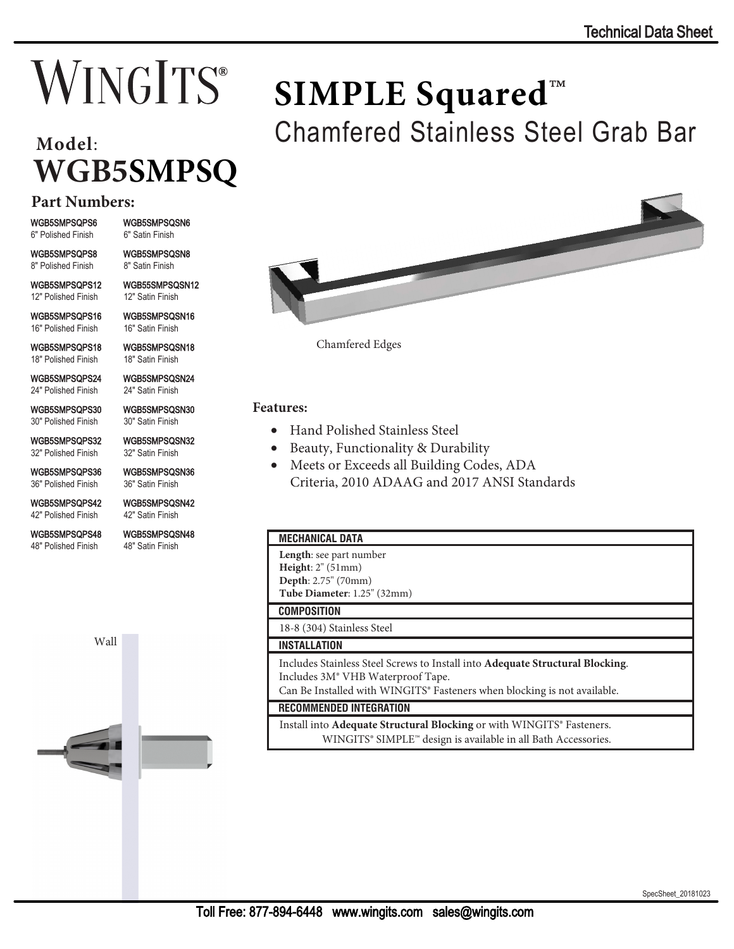# **WINGITS**®

# **Model**: **WGB5SMPSQ**

# **Part Numbers:**

WGB5SMPSQPS6 6" Polished Finish

WGB5SMPSQPS8 8" Polished Finish

WGB5SMPSQPS12 12" Polished Finish

WGB5SMPSQPS16 16" Polished Finish

WGB5SMPSQPS18 18" Polished Finish

WGB5SMPSQPS24 24" Polished Finish

WGB5SMPSQPS30 30" Polished Finish

WGB5SMPSQPS32 32" Polished Finish

WGB5SMPSQPS36 36" Polished Finish

WGB5SMPSQPS42 42" Polished Finish

WGB5SMPSQPS48 48" Polished Finish

WGB5SMPSQSN48

Wall



WGB5SMPSQSN6 6" Satin Finish WGB5SMPSQSN8

8" Satin Finish WGB55SMPSQSN12 12" Satin Finish

WGB5SMPSQSN16 16" Satin Finish

WGB5SMPSQSN18 18" Satin Finish

WGB5SMPSQSN24 24" Satin Finish

30" Satin Finish

32" Satin Finish

WGB5SMPSQSN36 36" Satin Finish

42" Satin Finish

48" Satin Finish

WGB5SMPSQSN30

WGB5SMPSQSN32

WGB5SMPSQSN42



Chamfered Stainless Steel Grab Bar

Chamfered Edges

### **Features:**

- Hand Polished Stainless Steel
- Beauty, Functionality & Durability
- Meets or Exceeds all Building Codes, ADA Criteria, 2010 ADAAG and 2017 ANSI Standards

**SIMPLE Squared**™

#### **MECHANICAL DATA**

**Length**: see part number **Height**: 2" (51mm) **Depth**: 2.75" (70mm)

**Tube Diameter**: 1.25" (32mm)

# **COMPOSITION**

18-8 (304) Stainless Steel

## **INSTALLATION**

Includes Stainless Steel Screws to Install into **Adequate Structural Blocking**. Includes 3M® VHB Waterproof Tape.

Can Be Installed with WINGITS® Fasteners when blocking is not available.

#### **RECOMMENDED INTEGRATION**

 Install into **Adequate Structural Blocking** or with WINGITS® Fasteners. WINGITS® SIMPLE™ design is available in all Bath Accessories.

SpecSheet\_20181023